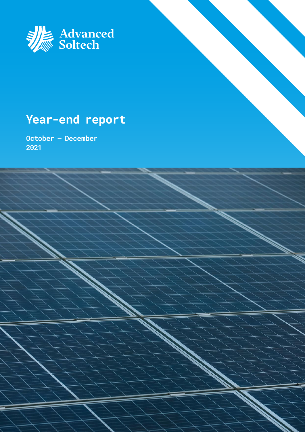

## **Year-end report**

**October – December 2021**

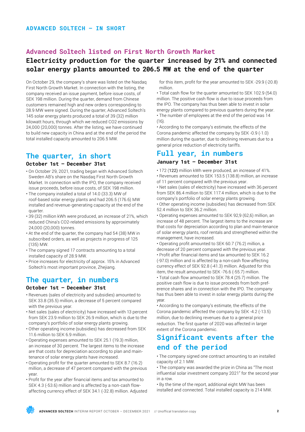### **Advanced Soltech listed on First North Growth Market**

### **Electricity production for the quarter increased by 21% and connected solar energy plants amounted to 206.5 MW at the end of the quarter**

On October 29, the company's share was listed on the Nasdaq First North Growth Market. In connection with the listing, the company received an issue payment, before issue costs, of SEK 198 million. During the quarter, demand from Chinese customers remained high and new orders corresponding to 28.9 MW were signed. During the quarter, Advanced Soltech's 145 solar energy plants produced a total of 39 (32) million kilowatt hours, through which we reduced CO2 emissions by 24,000 (20,000) tonnes. After the listing, we have continued to build new capacity in China and at the end of the period the total installed capacity amounted to 206.5 MW.

### **The quarter, in short**

### **October 1st – December 31st**

- On October 29, 2021, trading began with Advanced Soltech Sweden AB's share on the Nasdaq First North Growth Market. In connection with the IPO, the company received issue proceeds, before issue costs, of SEK 198 million.
- The company installed a total of 14.0 (33.3) MW of roof-based solar energy plants and had 206.5 (176.6) MW installed and revenue-generating capacity at the end of the quarter.
- 39 (32) million kWh were produced, an increase of 21%, which reduced China's CO2-related emissions by approximately 24,000 (20,000) tonnes.
- At the end of the quarter, the company had 54 (38) MW in subscribed orders, as well as projects in progress of 125 (135) MW.
- The company signed 17 contracts amounting to a total installed capacity of 28.9 MW.
- Price increases for electricity of approx. 15% in Advanced Soltech's most important province, Zhejiang.

### **The quarter, in numbers**

### **October 1st – December 31st**

- Revenues (sales of electricity and subsidies) amounted to SEK 33.8 (35.5) million, a decrease of 5 percent compared with the previous year.
- Net sales (sales of electricity) have increased with 13 percent from SEK 23.9 million to SEK 26.9 million, which is due to the company's portfolio of solar energy plants growing.
- Other operating income (subsidies) has decreased from SEK 11.6 million to SEK 6.9 million.
- Operating expenses amounted to SEK 25.1 (19.3) million, an increase of 30 percent. The largest items to the increase are that costs for depreciation according to plan and maintenance of solar energy plants have increased.
- Operating profit for the quarter amounted to SEK 8.7 (16.2) million, a decrease of 47 percent compared with the previous year.
- Profit for the year after financial items and tax amounted to SEK 4.3 (-53.6) million and is affected by a non-cash flowaffecting currency effect of SEK 34.1 (-32.8) million. Adjusted

for this item, profit for the year amounted to SEK -29.9 (-20.8) million.

• Total cash flow for the quarter amounted to SEK 102.9 (54.0) million. The positive cash flow is due to issue proceeds from the IPO. The company has thus been able to invest in solar energy plants compared to previous quarters during the year. • The number of employees at the end of the period was 14  $(16)$ 

• According to the company's estimate, the effects of the Corona pandemic affected the company by SEK -0.9 (-1.0) million during the quarter, due to declining revenues due to a general price reduction of electricity tariffs.

### **Full year, in numbers**

### **January 1st – December 31st**

- 172 (122) million kWh were produced, an increase of 41%. • Revenues amounted to SEK 153.5 (138.8) million, an increase
- of 11 percent compared with the previous year. • Net sales (sales of electricity) have increased with 36 percent from SEK 86.4 million to SEK 117.4 million, which is due to the company's portfolio of solar energy plants growing.
- Other operating income (subsidies) has decreased from SEK 52.4 million to SEK 36.2 million.

• Operating expenses amounted to SEK 92,9 (62,6) million, an increase of 48 percent. The largest items to the increase are that costs for depreciation according to plan and main-tenance of solar energy plants, roof rentals and strengthened within the management, have increased.

• Operating profit amounted to SEK 60.7 (76.2) million, a decrease of 20 percent compared with the previous year. • Profit after financial items and tax amounted to SEK 16.2 (-97.0) million and is affected by a non-cash flow-affecting currency effect of SEK 92.8 (-41.3) million. Adjusted for this item, the result amounted to SEK -76.6 (-55.7) million.

• Total cash flow amounted to SEK 78.4 (25.7) million. The positive cash flow is due to issue proceeds from both preference shares and in connection with the IPO. The company has thus been able to invest in solar energy plants during the year.

• According to the company's estimate, the effects of the Corona pandemic affected the company by SEK -4.2 (-13.5) million, due to declining revenues due to a general price reduction. The first quarter of 2020 was affected in larger extent of the Corona pandemic.

### **Significant events after the end of the period**

• The company signed one contract amounting to an installed capacity of 2.1 MW.

• The company was awarded the prize in China as "The most influential solar investment company 2021" for the second year in a row.

• By the time of the report, additional eight MW has been installed and connected. Total installed capacity is 214 MW.

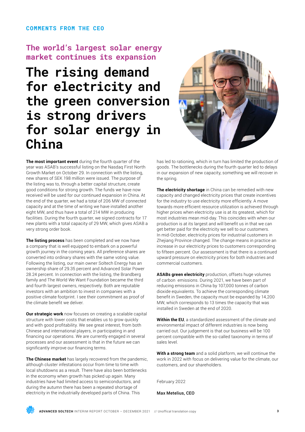### **COMMENTS FROM THE CEO**

### **The world's largest solar energy market continues its expansion**

## **The rising demand for electricity and the green conversion is strong drivers for solar energy in China**



**The most important event** during the fourth quarter of the year was ASAB's successful listing on the Nasdaq First North Growth Market on October 29. In connection with the listing, new shares of SEK 198 million were issued. The purpose of the listing was to, through a better capital structure, create good conditions for strong growth. The funds we have now received will be used for our continued expansion in China. At the end of the quarter, we had a total of 206 MW of connected capacity and at the time of writing we have installed another eight MW, and thus have a total of 214 MW in producing facilities. During the fourth quarter, we signed contracts for 17 new plants with a total capacity of 29 MW, which gives ASAB a very strong order book.

**The listing process** has been completed and we now have a company that is well equipped to embark on a powerful growth journey in the coming years. All preference shares are converted into ordinary shares with the same voting value. Following the listing, our main owner Soltech Energy has an ownership share of 29.35 percent and Advanced Solar Power 28.24 percent. In connection with the listing, the Brandberg family and The World We Want Foundation became the third and fourth largest owners, respectively. Both are reputable investors with an ambition to invest in companies with a positive climate footprint. I see their commitment as proof of the climate benefit we deliver.

**Our strategic work** now focuses on creating a scalable capital structure with lower costs that enables us to grow quickly and with good profitability. We see great interest, from both Chinese and international players, in participating in and financing our operations. We are currently engaged in several processes and our assessment is that in the future we can significantly improve our financing terms.

**The Chinese market** has largely recovered from the pandemic, although cluster infestations occur from time to time with local shutdowns as a result. There have also been bottlenecks in the economy when growth has picked up again. Many industries have had limited access to semiconductors, and during the autumn there has been a repeated shortage of electricity in the industrially developed parts of China. This

has led to rationing, which in turn has limited the production of goods. The bottlenecks during the fourth quarter led to delays in our expansion of new capacity, something we will recover in the spring.

**The electricity shortage** in China can be remedied with new capacity and changed electricity prices that create incentives for the industry to use electricity more efficiently. A move towards more efficient resource utilization is achieved through higher prices when electricity use is at its greatest, which for most industries mean mid-day. This coincides with when our production is at its largest and will benefit us in that we can get better paid for the electricity we sell to our customers. In mid-October, electricity prices for industrial customers in Zhejiang Province changed. The change means in practice an increase in our electricity prices to customers corresponding to fifteen percent. Our assessment is that there is a continued upward pressure on electricity prices for both industries and commercial customers.

**ASABs green electricity** production, offsets huge volumes of carbon emissions. During 2021, we have been part of reducing emissions in China by 107,000 tonnes of carbon dioxide equivalents. To achieve the corresponding climate benefit in Sweden, the capacity must be expanded by 14,200 MW, which corresponds to 13 times the capacity that was installed in Sweden at the end of 2020.

**Within the EU**, a standardized assessment of the climate and environmental impact of different industries is now being carried out. Our judgement is that our business will be 100 percent compatible with the so-called taxonomy in terms of sales level.

**With a strong team** and a solid platform, we will continue the work in 2022 with focus on delivering value for the climate, our customers, and our shareholders.

February 2022

Max Metelius, CEO

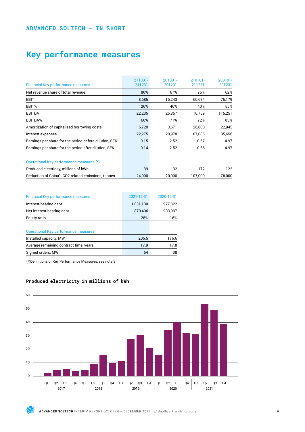### **ADVANCED SOLTECH – IN SHORT**

## **Key performance measures**

| <b>Financial Key performance measures</b>              | $211001 -$<br>211231 | $201001 -$<br>201231 | 210101-<br>211231 | $200101 -$<br>201231 |
|--------------------------------------------------------|----------------------|----------------------|-------------------|----------------------|
| Net revenue share of total revenue                     | 80%                  | 67%                  | 76%               | 62%                  |
| <b>EBIT</b>                                            | 8,686                | 16,243               | 60,674            | 76,179               |
| EBIT%                                                  | 26%                  | 46%                  | 40%               | 55%                  |
| <b>EBITDA</b>                                          | 22,235               | 25,357               | 110,759           | 115,251              |
| EBITDA%                                                | 66%                  | 71%                  | 72%               | 83%                  |
| Amortization of capitalised borrowing costs            | 6,720                | 3,671                | 26,800            | 22,945               |
| Interest expenses                                      | 22,275               | 20,978               | 87,085            | 85,656               |
| Earnings per share for the period before dilution, SEK | 0.15                 | $-2.52$              | 0.67              | $-4.97$              |
| Earnings per share for the period after dilution, SEK  | 0.14                 | $-2.52$              | 0.66              | $-4.97$              |
| Operational Key performance measures (*)               |                      |                      |                   |                      |
| Produced electricity, millions of kWh                  | 39                   | 32                   | 172               | 122                  |
| Reduction of China's CO2-related emissions, tonnes     | 24,000               | 20,000               | 107.000           | 76,000               |

| <b>Financial Key performance measures</b>   | 2021-12-31 | 2020-12-31 |
|---------------------------------------------|------------|------------|
| Interest-bearing debt                       | 1,031,130  | 977,322    |
| Net interest-bearing debt                   | 870,406    | 903,997    |
| Equity ratio                                | 28%        | 16%        |
|                                             |            |            |
| <b>Operational Key performance measures</b> |            |            |
| Installed capacity, MW                      | 206.5      | 176.6      |
| Average remaining contract time, years      | 17.9       | 17.8       |
| Signed orders, MW                           | 54         | 38         |

(\*)Definitions of Key Performance Measures, see note 3



### **Produced electricity in millions of kWh**

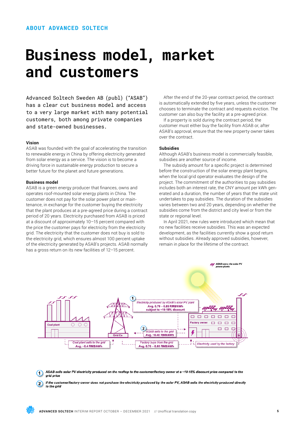## **Business model, market and customers**

Advanced Soltech Sweden AB (publ) ("ASAB") has a clear cut business model and access to a very large market with many potential customers, both among private companies and state-owned businesses.

### **Vision**

ASAB was founded with the goal of accelerating the transition to renewable energy in China by offering electricity generated from solar energy as a service. The vision is to become a driving force in sustainable energy production to secure a better future for the planet and future generations.

### **Business model**

ASAB is a green energy producer that finances, owns and operates roof-mounted solar energy plants in China. The customer does not pay for the solar power plant or maintenance, in exchange for the customer buying the electricity that the plant produces at a pre-agreed price during a contract period of 20 years. Electricity purchased from ASAB is priced at a discount of approximately 10–15 percent compared with the price the customer pays for electricity from the electricity grid. The electricity that the customer does not buy is sold to the electricity grid, which ensures almost 100 percent uptake of the electricity generated by ASAB's projects. ASAB normally has a gross return on its new facilities of 12-15 percent.

After the end of the 20-year contract period, the contract is automatically extended by five years, unless the customer chooses to terminate the contract and requests eviction. The customer can also buy the facility at a pre-agreed price.

If a property is sold during the contract period, the customer must either buy the facility from ASAB or, after ASAB's approval, ensure that the new property owner takes over the contract.

### **Subsidies**

Although ASAB's business model is commercially feasible, subsidies are another source of income.

The subsidy amount for a specific project is determined before the construction of the solar energy plant begins, when the local grid operator evaluates the design of the project. The commitment of the authorities to pay subsidies includes both an interest rate, the CNY amount per kWh generated and a duration, the number of years that the state unit undertakes to pay subsidies. The duration of the subsidies varies between two and 20 years, depending on whether the subsidies come from the district and city level or from the state or regional level.

In April 2021, new rules were introduced which mean that no new facilities receive subsidies. This was an expected development, as the facilities currently show a good return without subsidies. Already approved subsidies, however, remain in place for the lifetime of the contract.



ASAB sells solar PV electricity produced on the rooftop to the customer/factory owner at a ~10-15% discount price compared to the ⋒ grid price

If the customer/factory owner does not purchase the electricity produced by the solar PV, ASAB sells the electricity produced directly  $\Omega$ to the grid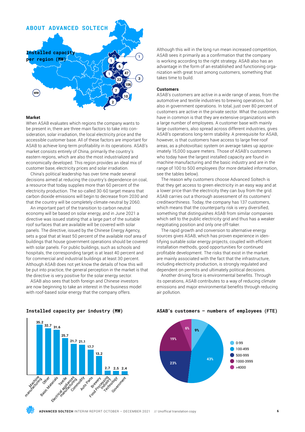

### **Market**

When ASAB evaluates which regions the company wants to be present in, there are three main factors to take into consideration, solar irradiation, the local electricity price and the accessible customer base. All of these factors are important for ASAB to achieve long-term profitability in its operations. ASAB's market consists entirely of China, primarily the country's eastern regions, which are also the most industrialized and economically developed. This region provides an ideal mix of customer base, electricity prices and solar irradiation.

China's political leadership has over time made several decisions aimed at reducing the country's dependence on coal, a resource that today supplies more than 60 percent of the electricity production. The so-called 30-60 target means that carbon dioxide emissions will begin to decrease from 2030 and that the country will be completely climate-neutral by 2060.

An important part of the transition to carbon neutral economy will be based on solar energy, and in June 2021 a directive was issued stating that a large part of the suitable roof surfaces that are available will be covered with solar panels. The directive, issued by the Chinese Energy Agency, sets a goal that at least 50 percent of the available roof area of buildings that house government operations should be covered with solar panels. For public buildings, such as schools and hospitals, the corresponding target is at least 40 percent and for commercial and industrial buildings at least 30 percent. Although ASAB does not yet know the details of how this will be put into practice, the general perception in the market is that the directive is very positive for the solar energy sector.

ASAB also sees that both foreign and Chinese investors are now beginning to take an interest in the business model with roof-based solar energy that the company offers.

Although this will in the long run mean increased competition, ASAB sees it primarily as a confirmation that the company is working according to the right strategy. ASAB also has an advantage in the form of an established and functioning organization with great trust among customers, something that takes time to build.

### **Customers**

ASAB's customers are active in a wide range of areas, from the automotive and textile industries to brewing operations, but also in government operations. In total, just over 80 percent of customers are active in the private sector. What the customers have in common is that they are extensive organizations with a large number of employees. A customer base with mainly large customers, also spread across different industries, gives ASAB's operations long-term stability. A prerequisite for ASAB, however, is that customers have access to large free roof areas, as a photovoltaic system on average takes up approximately 15,000 square meters. Those of ASAB's customers who today have the largest installed capacity are found in machine manufacturing and the basic industry and are in the range of 100 to 500 employees (for more detailed information, see the tables below).

The reason why customers choose Advanced Soltech is that they get access to green electricity in an easy way and at a lower price than the electricity they can buy from the grid. ASAB carries out a thorough assessment of its customers' creditworthiness. Today, the company has 137 customers, which means that the counterparty risk is very diversified, something that distinguishes ASAB from similar companies which sell to the public electricity grid and thus has a weaker negotiating position and only one off-taker.

The rapid growth and conversion to alternative energy sources gives ASAB, which has proven experience in identifying suitable solar energy projects, coupled with efficient installation methods, good opportunities for continued profitable development. The risks that exist in the market are mainly associated with the fact that the infrastructure, including electricity production, is strongly regulated and dependent on permits and ultimately political decisions.

Another driving force is environmental benefits. Through its operations, ASAB contributes to a way of reducing climate emissions and major environmental benefits through reducing air pollution.



### **Installed capacity per industry (MW)**





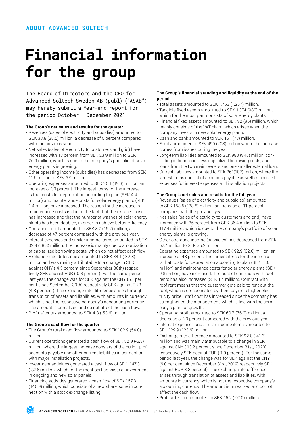# **Financial information for the group**

The Board of Directors and the CEO for Advanced Soltech Sweden AB (publ) ("ASAB") may hereby submit a Year-end report for the period October – December 2021.

### **The Group's net sales and results for the quarter**

- Revenues (sales of electricity and subsidies) amounted to SEK 33.8 (35.5) million, a decrease of 5 percent compared with the previous year.
- Net sales (sales of electricity to customers and grid) have increased with 13 percent from SEK 23.9 million to SEK 26.9 million, which is due to the company's portfolio of solar energy plants is growing.
- Other operating income (subsidies) has decreased from SEK 11.6 million to SEK 6.9 million.
- Operating expenses amounted to SEK 25.1 (19.3) million, an increase of 30 percent. The largest items for the increase is that costs for depreciation according to plan (SEK 4.4 million) and maintenance costs for solar energy plants (SEK 1.4 million) have increased. The reason for the increase in maintenance costs is due to the fact that the installed base has increased and that the number of washes of solar energy plants has been doubled, in order to achieve better efficiency.
- Operating profit amounted to SEK 8.7 (16.2) million, a decrease of 47 percent compared with the previous year.
- Interest expenses and similar income items amounted to SEK 32.9 (28.8) million. The increase is mainly due to amortization of capitalized borrowing costs, which do not affect cash flow.
- Exchange rate difference amounted to SEK 34.1 (-32.8) million and was mainly attributable to a change in SEK against CNY (-4.3 percent since September 30th) respectively SEK against EUR (-0.3 percent). For the same period last year, the change was for SEK against the CNY (5.1 per cent since September 30th) respectively SEK against EUR (4.8 per cent). The exchange rate difference arises through translation of assets and liabilities, with amounts in currency which is not the respective company's accounting currency. The amount is unrealized and do not affect the cash flow.
- Profit after tax amounted to SEK 4.3 (-53.6) million.

### **The Group's cashflow for the quarter**

- The Group's total cash flow amounted to SEK 102.9 (54.0) million.
- Current operations generated a cash flow of SEK 82.9 (-5.3) million, where the largest increase consists of the build-up of accounts payable and other current liabilities in connection with major installation projects.
- Investment activities generated a cash flow of SEK -147.3 (-87.6) million, which for the most part consists of investment in ongoing and new solar panels.
- Financing activities generated a cash flow of SEK 167.3 (146.9) million, which consists of a new share issue in connection with a stock exchange listing.

### **The Group's financial standing and liquidity at the end of the period**

- Total assets amounted to SEK 1,753 (1,257) million.
- Tangible fixed assets amounted to SEK 1,374 (980) million, which for the most part consists of solar energy plants.
- Financial fixed assets amounted to SEK 92 (96) million, which mainly consists of the VAT claim, which arises when the company invests in new solar energy plants.
- Cash and bank amounted to SEK 161 (73) million.
- Equity amounted to SEK 499 (203) million where the increase comes from issues during the year.
- Long-term liabilities amounted to SEK 980 (945) million, consisting of bond loans less capitalized borrowing costs, and loans from the two main owners and one smaller external loan.
- Current liabilities amounted to SEK 261(102) million, where the largest items consist of accounts payable as well as accrued expenses for interest expenses and installation projects.

### **The Group's net sales and results for the full year**

- Revenues (sales of electricity and subsidies) amounted to SEK 153.5 (138.8) million, an increase of 11 percent compared with the previous year.
- Net sales (sales of electricity to customers and grid) have increased with 36 percent from SEK 86.4 million to SEK 117.4 million, which is due to the company's portfolio of solar energy plants is growing.
- Other operating income (subsidies) has decreased from SEK 52.4 million to SEK 36.2 million.
- Operating expenses amounted to SEK 92.9 (62.6) million, an increase of 48 percent. The largest items for the increase is that costs for depreciation according to plan (SEK 11.0 million) and maintenance costs for solar energy plants (SEK 9.8 million) have increased. The cost of contracts with roof rents has also increased (SEK 1.4 million). Contract with roof rent means that the customer gets paid to rent out the roof, which is compensated by them paying a higher electricity price. Staff cost has increased since the company has strengthened the management, which is line with the company's plan for growth.
- Operating profit amounted to SEK 60.7 (76.2) million, a decrease of 20 percent compared with the previous year.
- Interest expenses and similar income items amounted to SEK 129.9 (123.6) million.
- Exchange rate difference amounted to SEK 92.8 (-41.3) million and was mainly attributable to a change in SEK against CNY (-13.2 percent since December 31st, 2020) respectively SEK against EUR (-1.9 percent). For the same period last year, the change was for SEK against the CNY (6.0 per cent since December 31st, 2019) respectively SEK against EUR 3.8 percent). The exchange rate difference arises through translation of assets and liabilities, with amounts in currency which is not the respective company's accounting currency. The amount is unrealized and do not affect the cash flow.
- Profit after tax amounted to SEK 16.2 (-97.0) million.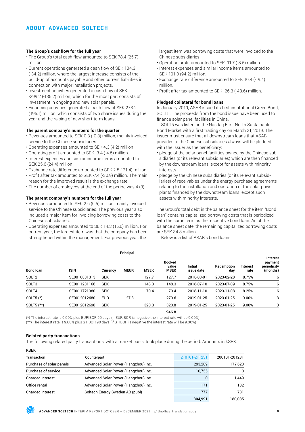### **The Group's cashflow for the full year**

- The Group's total cash flow amounted to SEK 78.4 (25.7) million.
- Current operations generated a cash flow of SEK 104.3 (-34.2) million, where the largest increase consists of the build-up of accounts payable and other current liabilities in connection with major installation projects.
- Investment activities generated a cash flow of SEK -299.2 (-135.2) million, which for the most part consists of investment in ongoing and new solar panels.
- Financing activities generated a cash flow of SEK 273.2 (195.1) million, which consists of two share issues during the year and the raising of new short-term loans.

### **The parent company's numbers for the quarter**

- Revenues amounted to SEK 0.8 (-0.3) million, mainly invoiced service to the Chinese subsidiaries.
- Operating expenses amounted to SEK 4.3 (4.2) million.
- Operating profit amounted to SEK -3.4 (-4.5) million.
- Interest expenses and similar income items amounted to SEK 25.6 (24.4) million.
- Exchange rate difference amounted to SEK 2.5 (-21.4) million.
- Profit after tax amounted to SEK -7.4 (-30.9) million. The main reason for the improved result is the exchange rate.
- The number of employees at the end of the period was 4 (3).

### **The parent company's numbers for the full year**

- Revenues amounted to SEK 2.6 (6.5) million, mainly invoiced service to the Chinese subsidiaries. The previous year also included a major item for invoicing borrowing costs to the Chinese subsidiaries.
- Operating expenses amounted to SEK 14.3 (15.0) million. For current year, the largest item was that the company has been strengthened within the management. For previous year, the

largest item was borrowing costs that were invoiced to the Chinese subsidiaries.

- Operating profit amounted to SEK -11.7 (-8.5) million.
- Interest expenses and similar income items amounted to SEK 101.3 (94.2) million.
- Exchange rate difference amounted to SEK 10.4 (-19.4) million.
- Profit after tax amounted to SEK -26.3 (-48.6) million.

### **Pledged collateral for bond loans**

In January 2019, ASAB issued its first institutional Green Bond, SOLT5. The proceeds from the bond issue have been used to finance solar panel facilities in China.

SOLT5 was listed on the Nasdaq First North Sustainable Bond Market with a first trading day on March 21, 2019. The issuer must ensure that all downstream loans that ASAB provides to the Chinese subsidiaries always will be pledged with the issuer as the beneficiary:

- pledge of the solar panel facilities owned by the Chinese subsidiaries (or its relevant subsidiaries) which are then financed by the downstream loans, except for assets with minority interests
- pledge by the Chinese subsidiaries (or its relevant subsidiaries) of receivables under the energy purchase agreements relating to the installation and operation of the solar power plants financed by the downstream loans, except such assets with minority interests.

The Group's total debt in the balance sheet for the item "Bond loan" contains capitalized borrowing costs that is periodized with the same term as the respective bond loan. As of the balance sheet date, the remaining capitalized borrowing costs are SEK 34.8 million.

Below is a list of ASAB's bond loans.

| <b>Bond loan</b><br><b>ISIN</b> | Principal    |                 |             |             |                                       |                              |                   |                  |                                                       |
|---------------------------------|--------------|-----------------|-------------|-------------|---------------------------------------|------------------------------|-------------------|------------------|-------------------------------------------------------|
|                                 |              | <b>Currency</b> | <b>MEUR</b> | <b>MSEK</b> | <b>Booked</b><br>value<br><b>MSEK</b> | <b>Initial</b><br>issue date | Redemption<br>day | Interest<br>rate | <b>Interest</b><br>payment<br>periodicity<br>(months) |
| SOLT <sub>2</sub>               | SE0010831313 | <b>SEK</b>      |             | 127.7       | 127.7                                 | 2018-03-01                   | 2023-02-28        | 8.75%            | 6                                                     |
| SOLT3                           | SE0011231166 | <b>SEK</b>      |             | 148.3       | 148.3                                 | 2018-07-10                   | 2023-07-09        | 8.75%            | 6                                                     |
| SOLT4                           | SE0011721380 | <b>SEK</b>      |             | 70.4        | 70.4                                  | 2018-11-10                   | 2023-11-08        | 8.25%            | 6                                                     |
| SOLT5 $(*)$                     | SE0012012680 | <b>EUR</b>      | 27.3        |             | 279.6                                 | 2019-01-25                   | 2023-01-25        | 9.00%            | 3                                                     |
| SOLT5 (**)                      | SE0012012698 | <b>SEK</b>      |             | 320.8       | 320.8                                 | 2019-01-25                   | 2023-01-25        | 9.00%            | 3                                                     |

946.8

(\*) The interest rate is 9.00% plus EURIBOR 90 days (if EURIBOR is negative the interest rate will be 9.00%)

(\*\*) The interest rate is 9.00% plus STIBOR 90 days (if STIBOR is negative the interest rate will be 9.00%)

### **Related party transactions**

The following related party transactions, with a market basis, took place during the period. Amounts in kSEK.

KSEK

| Transaction              | Counterpart                          | 210101-211231 | 200101-201231 |
|--------------------------|--------------------------------------|---------------|---------------|
| Purchase of solar panels | Advanced Solar Power (Hangzhou) Inc. | 293,289       | 177,623       |
| Purchase of service      | Advanced Solar Power (Hangzhou) Inc. | 10.755        | O             |
| Charged interest         | Advanced Solar Power (Hangzhou) Inc. | $\Omega$      | 1.449         |
| Office rental            | Advanced Solar Power (Hangzhou) Inc. | 171           | 182           |
| Charged interest         | Soltech Energy Sweden AB (publ)      | 777           | 781           |
|                          |                                      | 304,991       | 180,035       |

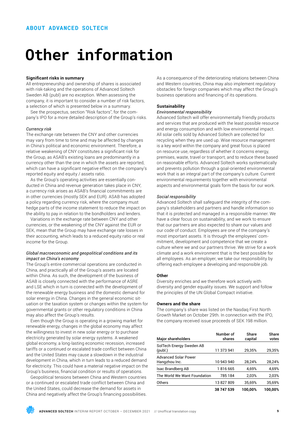# **Other information**

### **Significant risks in summary**

All entrepreneurship and ownership of shares is associated with risk-taking and the operations of Advanced Soltech Sweden AB (publ) are no exception. When assessing the company, it is important to consider a number of risk factors, a selection of which is presented below in a summary.

See the prospectus, section "Risk factors", for the company's IPO for a more detailed description of the Group's risks.

### *Currency risk*

The exchange rate between the CNY and other currencies may vary from time to time and may be affected by changes in China's political and economic environment. Therefore, a relative weakening of CNY constitutes a significant risk for the Group, as ASAB's existing loans are predominantly in a currency other than the one in which the assets are reported, which can have a significant negative effect on the company's reported equity and equity / assets ratio.

As the Group's operating activities are essentially conducted in China and revenue generation takes place in CNY, a currency risk arises as ASAB's financial commitments are in other currencies (mostly SEK and EUR). ASAB has adopted a policy regarding currency risk, where the company must hedge parts of the income statement to reduce the impact on the ability to pay in relation to the bondholders and lenders.

Variations in the exchange rate between CNY and other currencies, or the weakening of the CNY against the EUR or SEK, mean that the Group may have exchange rate losses in their accounting, which leads to a reduced equity ratio or real income for the Group.

### *Global macroeconomic and geopolitical conditions and its impact on China's economy*

The Group's entire commercial operations are conducted in China, and practically all of the Group's assets are located within China. As such, the development of the business of ASAB is closely connected with the performance of ASRE and LSE which in turn is connected with the development of the renewable energy business and the domestic demand for solar energy in China. Changes in the general economic situation or the taxation system or changes within the system for governmental grants or other regulatory conditions in China may also affect the Group's results.

Even though the Group is operating in a growing market for renewable energy, changes in the global economy may affect the willingness to invest in new solar energy or to purchase electricity generated by solar energy systems. A weakened global economy, a long-lasting economic recession, increased tariffs or a continued or escalated trade conflict between China and the United States may cause a slowdown in the industrial development in China, which in turn leads to a reduced demand for electricity. This could have a material negative impact on the Group's business, financial condition or results of operations.

Geopolitical tensions between China and Western countries or a continued or escalated trade conflict between China and the United States, could decrease the demand for assets in China and negatively affect the Group's financing possibilities. As a consequence of the deteriorating relations between China and Western countries, China may also implement regulatory obstacles for foreign companies which may affect the Group's business operations and financing of its operations.

### **Sustainability**

### *Environmental responsibility*

Advanced Soltech will offer environmentally friendly products and services that are produced with the least possible resource and energy consumption and with low environmental impact. All solar cells sold by Advanced Soltech are collected for recycling when they are used up. Wise resource management is a key word within the company and great focus is placed on resource use, regardless of whether it concerns energy, premises, waste, travel or transport, and to reduce these based on reasonable efforts. Advanced Soltech works systematically and prevents pollution through a goal-oriented environmental work that is an integral part of the company's culture. Current environmental requirements together with environmental aspects and environmental goals form the basis for our work.

### *Social responsibility*

Advanced Soltech shall safeguard the integrity of the company's stakeholders and partners and handle information so that it is protected and managed in a responsible manner. We have a clear focus on sustainability, and we work to ensure that our partners are also expected to share our values and our code of conduct. Employees are one of the company's most important assets. It is through the employees' commitment, development and competence that we create a culture where we and our partners thrive. We strive for a work climate and a work environment that is the best possible for all employees. As an employer, we take our responsibility by offering each employee a developing and responsible job.

### **Other**

Diversity enriches and we therefore work actively with diversity and gender equality issues. We support and follow the principles of the UN Global Compact initiative.

### **Owners and the share**

The company's share was listed on the Nasdaq First North Growth Market on October 29th. In connection with the IPO, the company received issue proceeds of SEK 198 million.

| <b>Major shareholders</b>                    | Number of<br>shares | Share<br>capital | Share<br>votes |
|----------------------------------------------|---------------------|------------------|----------------|
| SolTech Energy Sweden AB<br>(publ.)          | 11 373 941          | 29,35%           | 29,35%         |
| <b>Advanced Solar Power</b><br>Hangzhou Inc. | 10 943 940          | 28,24%           | 28,24%         |
| Isac Brandberg AB                            | 1816665             | 4,69%            | 4,69%          |
| The World We Want Foundation                 | 785184              | 2.03%            | 2,03%          |
| Others                                       | 13827809            | 35,69%           | 35,69%         |
|                                              | 38 747 539          | 100.00%          | 100.00%        |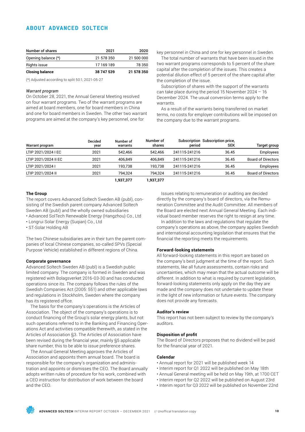### **ABOUT ADVANCED SOLTECH**

| Number of shares       | 2021       | 2020       |
|------------------------|------------|------------|
| Opening balance (*)    | 21 578 350 | 21 500 000 |
| Rights issue           | 17 169 189 | 78 350     |
| <b>Closing balance</b> | 38 747 539 | 21 578 350 |

(\*) Adjusted according to split 50:1, 2021-05-27

#### *Warrant program*

On October 28, 2021, the Annual General Meeting resolved on four warrant programs. Two of the warrant programs are aimed at board members, one for board members in China and one for board members in Sweden. The other two warrant programs are aimed at the company's key personnel, one for

key personnel in China and one for key personnel in Sweden.

The total number of warrants that have been issued in the two warrant programs corresponds to 5 percent of the share capital after the completion of the issues. This creates a potential dilution effect of 5 percent of the share capital after the completion of the issue.

Subscription of shares with the support of the warrants can take place during the period 15 November 2024 – 16 December 2024. The usual conversion terms apply to the warrants.

As a result of the warrants being transferred on market terms, no costs for employer contributions will be imposed on the company due to the warrant programs.

| Warrant program      | <b>Decided</b><br>year | Number of<br>warrants | Number of<br>shares | period        | Subscription Subscription price,<br><b>SEK</b> | <b>Target group</b>       |
|----------------------|------------------------|-----------------------|---------------------|---------------|------------------------------------------------|---------------------------|
| LTIP 2021/2024 I EC  | 2021                   | 542.466               | 542.466             | 241115-241216 | 36.45                                          | Employees                 |
| LTIP 2021/2024 II EC | 2021                   | 406.849               | 406.849             | 241115-241216 | 36.45                                          | <b>Board of Directors</b> |
| LTIP 2021/2024 I     | 2021                   | 193.738               | 193.738             | 241115-241216 | 36.45                                          | Employees                 |
| LTIP 2021/2024 II    | 2021                   | 794.324               | 794.324             | 241115-241216 | 36.45                                          | <b>Board of Directors</b> |
|                      |                        | 1,937,377             | 1,937,377           |               |                                                |                           |

### **The Group**

The report covers Advanced Soltech Sweden AB (publ), consisting of the Swedish parent company Advanced Soltech Sweden AB (publ) and the wholly owned subsidiaries

- Advanced SolTech Renewable Energy (Hangzhou) Co., Ltd
- Longrui Solar Energy (Suqian) Co., Ltd

• ST-Solar Holding AB

The two Chinese subsidiaries are in their turn the parent companies of local Chinese companies, so-called SPVs (Special Purpose Vehicle) established in different regions of China.

### **Corporate governance**

Advanced Soltech Sweden AB (publ) is a Swedish public limited company. The company is formed in Sweden and was registered with Bolagsverket 2016-03-30 and has conducted operations since its. The company follows the rules of the Swedish Companies Act (2005: 551) and other applicable laws and regulations in Stockholm, Sweden where the company has its registered office.

The basis for the company's operations is the Articles of Association. The object of the company's operations is to conduct financing of the Group's solar energy plants, but not such operations referred to in the Banking and Financing Operations Act and activities compatible therewith, as stated in the Articles of Association §3. The Articles of Association have been revised during the financial year, mainly §5 applicable share number, this to be able to issue preference shares.

The Annual General Meeting approves the Articles of Association and appoints them annual board. The board is responsible for the company's organization and administration and appoints or dismisses the CEO. The Board annually adopts written rules of procedure for his work, combined with a CEO instruction for distribution of work between the board and the CEO.

Issues relating to remuneration or auditing are decided directly by the company's board of directors, via the Remuneration Committee and the Audit Committee. All members of the Board are elected next Annual General Meeting. Each individual board member reserves the right to resign at any time.

In addition to the laws and regulations that regulate the company's operations as above, the company applies Swedish and international accounting legislation that ensures that the financial the reporting meets the requirements.

### **Forward-looking statements**

All forward-looking statements in this report are based on the company's best judgment at the time of the report. Such statements, like all future assessments, contain risks and uncertainties, which may mean that the actual outcome will be different. In addition to what is required by current legislation, forward-looking statements only apply on the day they are made and the company does not undertake to update these in the light of new information or future events. The company does not provide any forecasts.

#### **Auditor's review**

This report has not been subject to review by the company's auditors.

### **Disposition of profit**

The Board of Directors proposes that no dividend will be paid for the financial year of 2021.

### **Calendar**

- Annual report for 2021 will be published week 14
- Interim report for Q1 2022 will be published on May 18th
- Annual General meeting will be held on May 19th, at 1700 CET
- Interim report for Q2 2022 will be published on August 23rd
- Interim report for Q3 2022 will be published on November 22nd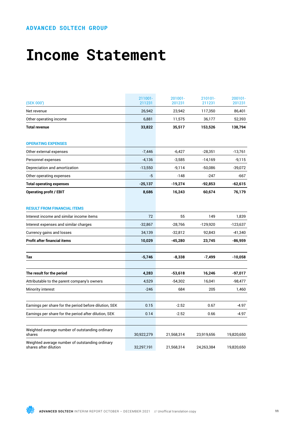## **Income Statement**

| (SEK 000')                                                               | 211001-<br>211231 | 201001-<br>201231 | 210101-<br>211231 | 200101-<br>201231 |
|--------------------------------------------------------------------------|-------------------|-------------------|-------------------|-------------------|
| Net revenue                                                              | 26,942            | 23,942            | 117,350           | 86,401            |
| Other operating income                                                   | 6,881             | 11,575            | 36,177            | 52,393            |
| <b>Total revenue</b>                                                     | 33,822            | 35,517            | 153,526           | 138,794           |
| <b>OPERATING EXPENSES</b>                                                |                   |                   |                   |                   |
| Other external expenses                                                  | $-7,446$          | $-6,427$          | $-28,351$         | $-13,761$         |
| Personnel expenses                                                       | $-4,136$          | $-3,585$          | $-14,169$         | $-9,115$          |
| Depreciation and amortization                                            | $-13,550$         | $-9,114$          | $-50,086$         | $-39,072$         |
| Other operating expenses                                                 | -5                | $-148$            | $-247$            | -667              |
| <b>Total operating expenses</b>                                          | $-25,137$         | $-19,274$         | -92,853           | -62,615           |
| <b>Operating profit / EBIT</b>                                           | 8,686             | 16,243            | 60,674            | 76,179            |
| <b>RESULT FROM FINANCIAL ITEMS</b>                                       |                   |                   |                   |                   |
| Interest income and similar income items                                 | 72                | 55                | 149               | 1,839             |
| Interest expenses and similar charges                                    | $-32,867$         | $-28,766$         | $-129,920$        | $-123,637$        |
| Currency gains and losses                                                | 34,139            | $-32,812$         | 92,843            | $-41,340$         |
| Profit after financial items                                             | 10,029            | -45,280           | 23,745            | -86,959           |
| Tax                                                                      | $-5,746$          | $-8,338$          | $-7,499$          | $-10,058$         |
|                                                                          |                   |                   |                   |                   |
| The result for the period                                                | 4,283             | $-53,618$         | 16,246            | -97,017           |
| Attributable to the parent company's owners                              | 4,529             | $-54,302$         | 16,041            | $-98,477$         |
| Minority interest                                                        | $-246$            | 684               | 205               | 1,460             |
| Earnings per share for the period before dilution, SEK                   | 0.15              | $-2.52$           | 0.67              | -4.97             |
| Earnings per share for the period after dilution, SEK                    | 0.14              | $-2.52$           | 0.66              | $-4.97$           |
| Weighted average number of outstanding ordinary<br>shares                | 30,922,279        | 21,568,314        | 23,919,656        | 19,820,650        |
| Weighted average number of outstanding ordinary<br>shares after dilution | 32,297,191        | 21,568,314        | 24,263,384        | 19,820,650        |

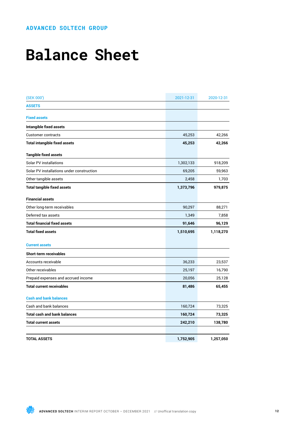# **Balance Sheet**

| (SEK 000')                                | 2021-12-31 | 2020-12-31 |
|-------------------------------------------|------------|------------|
| <b>ASSETS</b>                             |            |            |
| <b>Fixed assets</b>                       |            |            |
| <b>Intangible fixed assets</b>            |            |            |
| <b>Customer contracts</b>                 | 45,253     | 42,266     |
| <b>Total intangible fixed assets</b>      | 45,253     | 42,266     |
| <b>Tangible fixed assets</b>              |            |            |
| Solar PV installations                    | 1,302,133  | 918,209    |
| Solar PV installations under construction | 69,205     | 59,963     |
| Other tangible assets                     | 2,458      | 1,703      |
| <b>Total tangible fixed assets</b>        | 1,373,796  | 979,875    |
|                                           |            |            |
| <b>Financial assets</b>                   |            |            |
| Other long-term receivables               | 90,297     | 88,271     |
| Deferred tax assets                       | 1,349      | 7,858      |
| <b>Total financial fixed assets</b>       | 91,646     | 96,129     |
| <b>Total fixed assets</b>                 | 1,510,695  | 1,118,270  |
| <b>Current assets</b>                     |            |            |
| <b>Short-term receivables</b>             |            |            |
| Accounts receivable                       | 36,233     | 23,537     |
| Other receivables                         | 25,197     | 16,790     |
| Prepaid expenses and accrued income       | 20,056     | 25,128     |
| <b>Total current receivables</b>          | 81,486     | 65,455     |
| <b>Cash and bank balances</b>             |            |            |
| Cash and bank balances                    | 160,724    | 73,325     |
| <b>Total cash and bank balances</b>       | 160,724    | 73,325     |
| <b>Total current assets</b>               | 242,210    | 138,780    |
|                                           |            |            |
| <b>TOTAL ASSETS</b>                       | 1,752,905  | 1,257,050  |

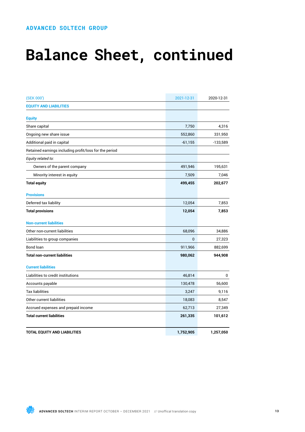# **Balance Sheet, continued**

| (SEK 000')                                             | 2021-12-31 | 2020-12-31 |
|--------------------------------------------------------|------------|------------|
| <b>EQUITY AND LIABILITIES</b>                          |            |            |
| <b>Equity</b>                                          |            |            |
| Share capital                                          | 7,750      | 4,316      |
| Ongoing new share issue                                | 552,860    | 331,950    |
| Additional paid in capital                             | $-61,155$  | $-133,589$ |
| Retained earnings including profit/loss for the period |            |            |
| Equity related to:                                     |            |            |
| Owners of the parent company                           | 491,946    | 195,631    |
| Minority interest in equity                            | 7,509      | 7,046      |
| <b>Total equity</b>                                    | 499,455    | 202,677    |
| <b>Provisions</b>                                      |            |            |
| Deferred tax liability                                 | 12,054     | 7,853      |
| <b>Total provisions</b>                                | 12,054     | 7,853      |
| <b>Non-current liabilities</b>                         |            |            |
| Other non-current liabilities                          | 68,096     | 34,886     |
| Liabilities to group companies                         | $\bf{0}$   | 27,323     |
| Bond loan                                              | 911,966    | 882,699    |
| <b>Total non-current liabilities</b>                   | 980,062    | 944,908    |
| <b>Current liabilities</b>                             |            |            |
| Liabilities to credit institutions                     | 46,814     | 0          |
| Accounts payable                                       | 130,478    | 56,600     |
| <b>Tax liabilities</b>                                 | 3,247      | 9,116      |
| Other current liabilities                              | 18,083     | 8,547      |
| Accrued expenses and prepaid income                    | 62,713     | 27,349     |
| <b>Total current liabilities</b>                       | 261,335    | 101,612    |
| <b>TOTAL EQUITY AND LIABILITIES</b>                    | 1,752,905  | 1,257,050  |

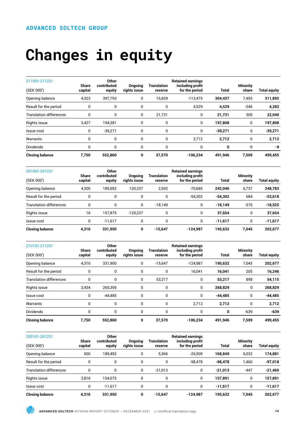# **Changes in equity**

| 211001-211231                  | <b>Share</b> | Other<br>contributed | <b>Ongoing</b> | <b>Translation</b> | <b>Retained earnings</b><br>including profit |              | <b>Minority</b> |                     |
|--------------------------------|--------------|----------------------|----------------|--------------------|----------------------------------------------|--------------|-----------------|---------------------|
| (SEK 000')                     | capital      | equity               | rights issue   | reserve            | for the period                               | <b>Total</b> | share           | <b>Total equity</b> |
| Opening balance                | 4,323        | 397,750              | 0              | 15,839             | $-113,475$                                   | 304,437      | 7,455           | 311,892             |
| Result for the period          | 0            | 0                    | 0              | 0                  | 4,529                                        | 4,529        | $-246$          | 4,283               |
| <b>Translation differences</b> | 0            | 0                    | 0              | 21,731             | 0                                            | 21,731       | 309             | 22,040              |
| Rights issue                   | 3,427        | 194,381              | 0              | 0                  | 0                                            | 197,808      | 0               | 197,808             |
| Issue cost                     | 0            | $-39,271$            | 0              | 0                  | 0                                            | $-39,271$    | 0               | $-39,271$           |
| Warrants                       | 0            | 0                    | 0              | 0                  | 2,712                                        | 2,712        | 0               | 2,712               |
| Dividends                      | 0            | 0                    | 0              | 0                  | 0                                            | 0            | -9              | -9                  |
| <b>Closing balance</b>         | 7,750        | 552,860              | 0              | 37,570             | $-106,234$                                   | 491,946      | 7,509           | 499,455             |

| 201001-201231<br>(SEK 000') | <b>Share</b><br>capital | <b>Other</b><br>contributed | <b>Ongoing</b><br>rights issue | Translation<br>reserve | <b>Retained earnings</b><br>including profit<br>for the period | Total     | <b>Minority</b><br>share | <b>Total equity</b> |
|-----------------------------|-------------------------|-----------------------------|--------------------------------|------------------------|----------------------------------------------------------------|-----------|--------------------------|---------------------|
|                             |                         | equity                      |                                |                        |                                                                |           |                          |                     |
| Opening balance             | 4,300                   | 185.692                     | 120.237                        | 2,502                  | $-70,685$                                                      | 242.046   | 6,737                    | 248,783             |
| Result for the period       | 0                       | 0                           | 0                              | 0                      | $-54,302$                                                      | $-54.302$ | 684                      | $-53,618$           |
| Translation differences     | 0                       | 0                           | 0                              | $-18.149$              | 0                                                              | $-18.149$ | $-376$                   | $-18,525$           |
| Rights issue                | 16                      | 157.875                     | $-120,237$                     | 0                      | 0                                                              | 37,654    | 0                        | 37,654              |
| Issue cost                  | 0                       | $-11.617$                   | 0                              | $\Omega$               | 0                                                              | $-11.617$ | 0                        | $-11,617$           |
| <b>Closing balance</b>      | 4,316                   | 331,950                     | 0                              | $-15,647$              | $-124.987$                                                     | 195,632   | 7,045                    | 202,677             |

| 210101-211231                  | <b>Share</b> | <b>Other</b><br>contributed | Ongoing      | <b>Translation</b> | <b>Retained earnings</b><br>including profit |              | <b>Minority</b> |                     |
|--------------------------------|--------------|-----------------------------|--------------|--------------------|----------------------------------------------|--------------|-----------------|---------------------|
| (SEK 000')                     | capital      | equity                      | rights issue | reserve            | for the period                               | <b>Total</b> | share           | <b>Total equity</b> |
| Opening balance                | 4,316        | 331,950                     | 0            | $-15,647$          | $-124,987$                                   | 195,632      | 7,045           | 202,677             |
| Result for the period          | 0            | 0                           | 0            | 0                  | 16,041                                       | 16,041       | 205             | 16,246              |
| <b>Translation differences</b> | 0            | 0                           | 0            | 53,217             | 0                                            | 53,217       | 898             | 54,115              |
| Rights issue                   | 3,434        | 265,395                     | 0            | 0                  | 0                                            | 268,829      | 0               | 268,829             |
| Issue cost                     | 0            | $-44.485$                   | 0            | 0                  | 0                                            | $-44.485$    | 0               | $-44,485$           |
| Warrants                       | 0            | 0                           | 0            | 0                  | 2,712                                        | 2,712        | 0               | 2,712               |
| <b>Dividends</b>               | 0            | 0                           | 0            | 0                  | 0                                            | 0            | $-639$          | $-639$              |
| <b>Closing balance</b>         | 7,750        | 552,860                     | 0            | 37,570             | $-106.234$                                   | 491,946      | 7,509           | 499,455             |

| 200101-201231                  |                         | <b>Other</b>          |                         |                        | <b>Retained earnings</b>           |              |                          |                     |
|--------------------------------|-------------------------|-----------------------|-------------------------|------------------------|------------------------------------|--------------|--------------------------|---------------------|
| (SEK 000')                     | <b>Share</b><br>capital | contributed<br>equity | Onaoina<br>rights issue | Translation<br>reserve | including profit<br>for the period | <b>Total</b> | <b>Minority</b><br>share | <b>Total equity</b> |
| Opening balance                | 500                     | 189.492               | 0                       | 5.366                  | $-26.509$                          | 168.849      | 6,032                    | 174,881             |
| Result for the period          | 0                       | 0                     | 0                       | 0                      | -98.478                            | $-98.478$    | 1,460                    | -97,018             |
| <b>Translation differences</b> | 0                       | 0                     | 0                       | $-21.013$              | 0                                  | $-21.013$    | $-447$                   | $-21,460$           |
| Rights issue                   | 3.816                   | 154.075               | 0                       | 0                      | 0                                  | 157.891      | 0                        | 157,891             |
| Issue cost                     | 0                       | $-11.617$             | 0                       | 0                      | 0                                  | $-11,617$    | 0                        | $-11,617$           |
| <b>Closing balance</b>         | 4,316                   | 331,950               | 0                       | $-15,647$              | $-124.987$                         | 195,632      | 7,045                    | 202,677             |

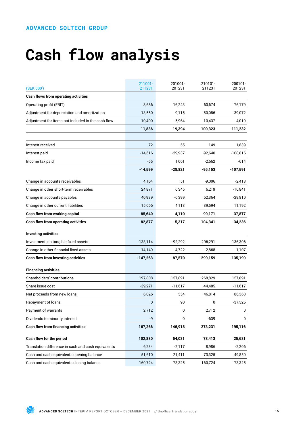# **Cash flow analysis**

| (SEK 000')                                          | 211001-<br>211231 | 201001-<br>201231 | 210101-<br>211231 | 200101-<br>201231 |
|-----------------------------------------------------|-------------------|-------------------|-------------------|-------------------|
| <b>Cash flows from operating activities</b>         |                   |                   |                   |                   |
| Operating profit (EBIT)                             | 8,686             | 16,243            | 60,674            | 76,179            |
| Adjustment for depreciation and amortization        | 13,550            | 9,115             | 50,086            | 39,072            |
| Adjustment for items not included in the cash flow  | $-10,400$         | $-5,964$          | $-10,437$         | -4,019            |
|                                                     | 11,836            | 19,394            | 100,323           | 111,232           |
|                                                     |                   |                   |                   |                   |
| Interest received                                   | 72                | 55                | 149               | 1,839             |
| Interest paid                                       | $-14,616$         | $-29,937$         | $-92,640$         | $-108,816$        |
| Income tax paid                                     | $-55$             | 1,061             | $-2,662$          | -614              |
|                                                     | -14,599           | $-28,821$         | -95,153           | -107,591          |
| Change in accounts receivables                      | 4,164             | 51                | $-9,006$          | $-2,418$          |
| Change in other short-term receivables              | 24,871            | 6,345             | 6,219             | $-16,841$         |
| Change in accounts payables                         | 40,939            | $-6,399$          | 62,364            | $-29,810$         |
| Change in other current liabilities                 | 15,666            | 4.113             | 39,594            | 11,192            |
| Cash flow from working capital                      | 85,640            | 4,110             | 99,171            | -37,877           |
| <b>Cash flow from operating activities</b>          | 82,877            | $-5,317$          | 104,341           | $-34,236$         |
| <b>Investing activities</b>                         |                   |                   |                   |                   |
| Investments in tangible fixed assets                | $-133,114$        | $-92,292$         | -296,291          | $-136,306$        |
| Change in other financial fixed assets              | $-14,149$         | 4,722             | $-2,868$          | 1,107             |
| <b>Cash flow from investing activities</b>          | $-147,263$        | -87,570           | -299,159          | -135,199          |
| <b>Financing activities</b>                         |                   |                   |                   |                   |
| Shareholders' contributions                         | 197,808           | 157,891           | 268,829           | 157,891           |
| Share issue cost                                    | $-39,271$         | $-11,617$         | -44,485           | $-11,617$         |
| Net proceeds from new loans                         | 6,026             | 554               | 46,814            | 86,368            |
| Repayment of loans                                  | 0                 | 90                | 0                 | $-37,526$         |
| Payment of warrants                                 | 2,712             | 0                 | 2,712             | 0                 |
| Dividends to minority interest                      | -9                | 0                 | -639              | 0                 |
| <b>Cash flow from financing activities</b>          | 167,266           | 146,918           | 273,231           | 195,116           |
| Cash flow for the period                            | 102,880           | 54,031            | 78,413            | 25,681            |
| Translation difference in cash and cash equivalents | 6,234             | $-2,117$          | 8,986             | $-2,206$          |
| Cash and cash equivalents opening balance           | 51,610            | 21,411            | 73,325            | 49,850            |
| Cash and cash equivalents closing balance           | 160,724           | 73,325            | 160,724           | 73,325            |

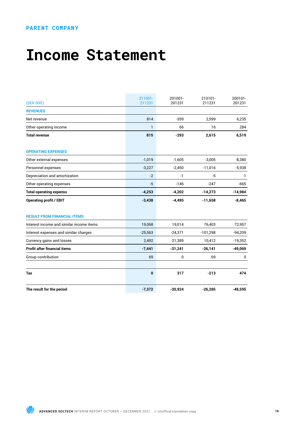### **PARENT COMPANY**

## **Income Statement**

| (SEK 000')                               | 211001-<br>211231 | 201001-<br>201231 | 210101-<br>211231 | 200101-<br>201231 |
|------------------------------------------|-------------------|-------------------|-------------------|-------------------|
| <b>REVENUES</b>                          |                   |                   |                   |                   |
| Net revenue                              | 814               | $-359$            | 2,599             | 6,235             |
| Other operating income                   | 1                 | 66                | 16                | 284               |
| <b>Total revenue</b>                     | 815               | $-293$            | 2,615             | 6,519             |
| <b>OPERATING EXPENSES</b>                |                   |                   |                   |                   |
| Other external expenses                  | $-1,019$          | $-1,605$          | $-3,005$          | $-8,380$          |
| Personnel expenses                       | $-3,227$          | $-2,450$          | $-11,016$         | $-5,938$          |
| Depreciation and amortization            | $-2$              | -1                | $-5$              | -1                |
| Other operating expenses                 | $-5$              | $-146$            | $-247$            | $-665$            |
| <b>Total operating expenss</b>           | $-4,253$          | $-4,202$          | $-14,273$         | $-14,984$         |
| <b>Operating profit / EBIT</b>           | $-3,438$          | $-4,495$          | $-11,658$         | $-8,465$          |
| <b>RESULT FROM FINANCIAL ITEMS</b>       |                   |                   |                   |                   |
| Interest income and similar income items | 19,068            | 19,014            | 76,403            | 72,957            |
| Interest expenses and similar charges    | $-25,563$         | $-24,371$         | $-101,298$        | $-94,209$         |
| Currency gains and losses                | 2,492             | $-21,389$         | 10,412            | $-19,352$         |
| <b>Profit after financial items</b>      | $-7,441$          | $-31,241$         | $-26,141$         | $-49,069$         |
| Group contribution                       | 69                | $\mathbf 0$       | 69                | $\mathbf 0$       |
| Tax                                      | $\bf{0}$          | 317               | $-213$            | 474               |
| The result for the period                | $-7,372$          | $-30,924$         | $-26,285$         | $-48,595$         |

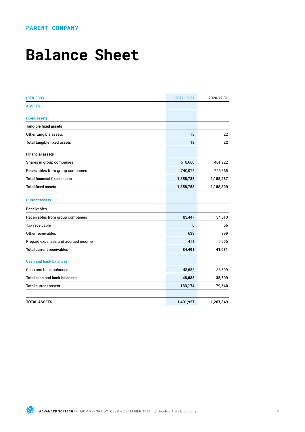### **PARENT COMPANY**

## **Balance Sheet**

| (SEK 000')                          | 2021-12-31   | 2020-12-31 |
|-------------------------------------|--------------|------------|
| <b>ASSETS</b>                       |              |            |
| <b>Fixed assets</b>                 |              |            |
| <b>Tangible fixed assets</b>        |              |            |
| Other tangible assets               | 18           | 22         |
| <b>Total tangible fixed assets</b>  | 18           | 22         |
| <b>Financial assets</b>             |              |            |
| Shares in group companies           | 618,660      | 461,922    |
| Receivables from group companies    | 740,075      | 726,365    |
| <b>Total financial fixed assets</b> | 1,358,735    | 1,188,287  |
| <b>Total fixed assets</b>           | 1,358,753    | 1,188,309  |
| <b>Current assets</b>               |              |            |
| <b>Receivables</b>                  |              |            |
| Receivables from group companies    | 83,447       | 34,610     |
| Tax receivable                      | $\mathbf{0}$ | 66         |
| Other receivables                   | 633          | 399        |
| Prepaid expenses and accrued income | 411          | 5,956      |
| <b>Total current receivables</b>    | 84,491       | 41,031     |
| <b>Cash and bank balances</b>       |              |            |
| Cash and bank balances              | 48,683       | 38,509     |
| <b>Total cash and bank balances</b> | 48,683       | 38,509     |
| <b>Total current assets</b>         | 133,174      | 79,540     |
| <b>TOTAL ASSETS</b>                 | 1,491,927    | 1,267,849  |

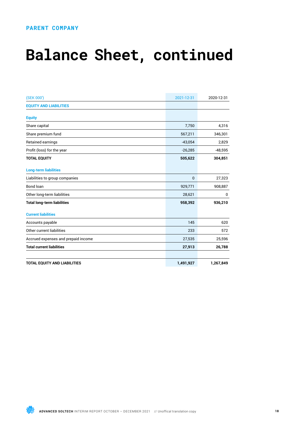### **PARENT COMPANY**

# **Balance Sheet, continued**

| (SEK 000')                          | 2021-12-31   | 2020-12-31 |
|-------------------------------------|--------------|------------|
| <b>EQUITY AND LIABILITIES</b>       |              |            |
| <b>Equity</b>                       |              |            |
| Share capital                       | 7,750        | 4,316      |
| Share premium fund                  | 567,211      | 346,301    |
| Retained earnings                   | $-43,054$    | 2,829      |
| Profit (loss) for the year          | $-26,285$    | $-48,595$  |
| <b>TOTAL EQUITY</b>                 | 505,622      | 304,851    |
| <b>Long-term liabilities</b>        |              |            |
| Liabilities to group companies      | $\mathbf{0}$ | 27,323     |
| Bond loan                           | 929,771      | 908,887    |
| Other long-term liabilities         | 28,621       | 0          |
| <b>Total long-term liabilities</b>  | 958,392      | 936,210    |
| <b>Current liabilities</b>          |              |            |
| Accounts payable                    | 145          | 620        |
| Other current liabilities           | 233          | 572        |
| Accrued expenses and prepaid income | 27,535       | 25,596     |
| <b>Total current liabilities</b>    | 27,913       | 26,788     |
|                                     |              |            |
| <b>TOTAL EQUITY AND LIABILITIES</b> | 1,491,927    | 1,267,849  |

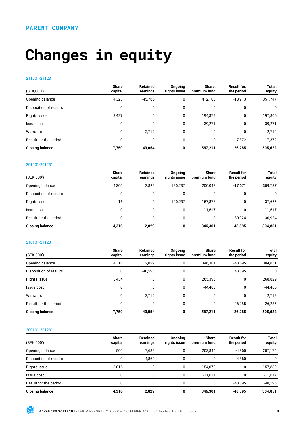# **Changes in equity**

### 211001-211231

| (SEK,000')             | <b>Share</b><br>capital | <b>Retained</b><br>earnings | <b>Ongoing</b><br>rights issue | Share.<br>premium fund | Result.for.<br>the period | Total,<br>equity |
|------------------------|-------------------------|-----------------------------|--------------------------------|------------------------|---------------------------|------------------|
| Opening balance        | 4,323                   | $-45,766$                   | 0                              | 412,103                | $-18,913$                 | 351,747          |
| Disposition of results | 0                       |                             |                                |                        |                           | 0                |
| Rights issue           | 3,427                   | 0                           | 0                              | 194,379                | 0                         | 197,806          |
| Issue cost             | 0                       |                             | 0                              | $-39.271$              | 0                         | $-39,271$        |
| Warrants               | 0                       | 2,712                       |                                | 0                      | 0                         | 2,712            |
| Result for the period  | 0                       | $\Omega$                    |                                | 0                      | $-7.372$                  | $-7,372$         |
| <b>Closing balance</b> | 7,750                   | $-43.054$                   | 0                              | 567,211                | $-26.285$                 | 505,622          |

### 201001-201231

| (SEK 000')             | <b>Share</b><br>capital | Retained<br>earnings | Ongoing<br>rights issue | <b>Share</b><br>premium fund | <b>Result for</b><br>the period | <b>Total</b><br>equity |
|------------------------|-------------------------|----------------------|-------------------------|------------------------------|---------------------------------|------------------------|
| Opening balance        | 4,300                   | 2.829                | 120.237                 | 200.042                      | $-17.671$                       | 309,737                |
| Disposition of results | 0                       |                      |                         | 0                            |                                 | 0                      |
| Rights issue           | 16                      |                      | $-120.237$              | 157.876                      | 0                               | 37,655                 |
| Issue cost             | 0                       |                      | 0                       | $-11.617$                    | 0                               | $-11,617$              |
| Result for the period  | 0                       |                      |                         | 0                            | $-30.924$                       | $-30,924$              |
| <b>Closing balance</b> | 4,316                   | 2.829                |                         | 346,301                      | $-48.595$                       | 304,851                |

### 210101-211231

| (SEK 000')             | <b>Share</b><br>capital | Retained<br>earnings | Ongoing<br>rights issue | <b>Share</b><br>premium fund | <b>Result for</b><br>the period | <b>Total</b><br>equity |
|------------------------|-------------------------|----------------------|-------------------------|------------------------------|---------------------------------|------------------------|
| Opening balance        | 4,316                   | 2,829                | 0                       | 346,301                      | $-48,595$                       | 304,851                |
| Disposition of results | 0                       | $-48,595$            | $\Omega$                | 0                            | 48,595                          | 0                      |
| Rights issue           | 3,434                   | 0                    | $\Omega$                | 265,395                      | 0                               | 268,829                |
| Issue cost             | 0                       | 0                    | $\Omega$                | $-44,485$                    | 0                               | $-44,485$              |
| Warrants               | 0                       | 2.712                | $\Omega$                | 0                            | 0                               | 2.712                  |
| Result for the period  |                         | $\Omega$             | <sup>0</sup>            |                              | $-26,285$                       | $-26,285$              |
| <b>Closing balance</b> | 7,750                   | $-43.054$            |                         | 567.211                      | $-26.285$                       | 505,622                |

### 200101-201231

| (SEK 000')             | <b>Share</b><br>capital | <b>Retained</b><br>earnings | Ongoing<br>rights issue | <b>Share</b><br>premium fund | <b>Result for</b><br>the period | <b>Total</b><br>equity |
|------------------------|-------------------------|-----------------------------|-------------------------|------------------------------|---------------------------------|------------------------|
| Opening balance        | 500                     | 7,689                       | 0                       | 203.845                      | $-4,860$                        | 207,174                |
| Disposition of results | 0                       | $-4.860$                    | 0                       | 0                            | 4.860                           | 0                      |
| Rights issue           | 3,816                   | 0                           | 0                       | 154.073                      | 0                               | 157,889                |
| Issue cost             | 0                       | 0                           | 0                       | $-11.617$                    | 0                               | $-11,617$              |
| Result for the period  |                         |                             |                         |                              | $-48.595$                       | $-48,595$              |
| <b>Closing balance</b> | 4,316                   | 2,829                       | 0                       | 346,301                      | $-48.595$                       | 304,851                |

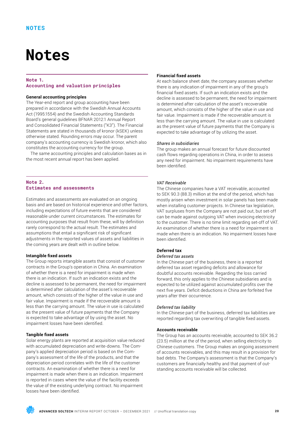## **Notes**

### **Note 1. Accounting and valuation principles**

### **General accounting principles**

The Year-end report and group accounting have been prepared in accordance with the Swedish Annual Accounts Act (1995:1554) and the Swedish Accounting Standards Board's general guidelines BFNAR 2012:1 Annual Report and Consolidated Financial Statements ("K3"). The Financial Statements are stated in thousands of kronor (kSEK) unless otherwise stated. Rounding errors may occur. The parent company's accounting currency is Swedish kronor, which also constitutes the accounting currency for the group.

The same accounting principles and calculation bases as in the most recent annual report has been applied.

### **Note 2. Estimates and assessments**

Estimates and assessments are evaluated on an ongoing basis and are based on historical experience and other factors, including expectations of future events that are considered reasonable under current circumstances. The estimates for accounting purposes that result from these, will by definition rarely correspond to the actual result. The estimates and assumptions that entail a significant risk of significant adjustments in the reported values of assets and liabilities in the coming years are dealt with in outline below.

### **Intangible fixed assets**

The Group reports intangible assets that consist of customer contracts in the Group's operation in China. An examination of whether there is a need for impairment is made when there is an indication. If such an indication exists and the decline is assessed to be permanent, the need for impairment is determined after calculation of the asset's recoverable amount, which consists of the higher of the value in use and fair value. Impairment is made if the recoverable amount is less than the carrying amount. The value in use is calculated as the present value of future payments that the Company is expected to take advantage of by using the asset. No impairment losses have been identified.

### **Tangible fixed assets**

Solar energy plants are reported at acquisition value reduced with accumulated depreciation and write-downs. The Company's applied depreciation period is based on the Company's assessment of the life of the products, and that the depreciation period correlates with the life of the customer contracts. An examination of whether there is a need for impairment is made when there is an indication. Impairment is reported in cases where the value of the facility exceeds the value of the existing underlying contract. No impairment losses have been identified.

### **Financial fixed assets**

At each balance sheet date, the company assesses whether there is any indication of impairment in any of the group's financial fixed assets. If such an indication exists and the decline is assessed to be permanent, the need for impairment is determined after calculation of the asset's recoverable amount, which consists of the higher of the value in use and fair value. Impairment is made if the recoverable amount is less than the carrying amount. The value in use is calculated as the present value of future payments that the Company is expected to take advantage of by utilizing the asset.

### *Shares in subsidiaries*

The group makes an annual forecast for future discounted cash flows regarding operations in China, in order to assess any need for impairment. No impairment requirements have been identified.

### *VAT Receivable*

The Chinese companies have a VAT receivable, accounted to SEK 90.3 (88.3) million at the end of the period, which has mostly arisen when investment in solar panels has been made when installing customer projects. In Chinese tax legislation, VAT surpluses from the Company are not paid out, but set-off can be made against outgoing VAT when invoicing electricity to the customer. There is no time limit regarding set-off of VAT. An examination of whether there is a need for impairment is made when there is an indication. No impairment losses have been identified.

### **Deferred tax**

### *Deferred tax assets*

In the Chinese part of the business, there is a reported deferred tax asset regarding deficits and allowance for doubtful accounts receivable. Regarding the loss carried forward, this only applies to the Chinese subsidiaries and is expected to be utilized against accumulated profits over the next five years. Deficit deductions in China are forfeited five years after their occurrence.

### *Deferred tax liability*

In the Chinese part of the business, deferred tax liabilities are reported regarding tax overwriting of tangible fixed assets.

### **Accounts receivable**

The Group has an accounts receivable, accounted to SEK 36.2 (23.5) million at the of the period, when selling electricity to Chinese customers. The Group makes an ongoing assessment of accounts receivables, and this may result in a provision for bad debts. The Company's assessment is that the Company's customers are financially healthy and that payment of outstanding accounts receivable will be collected.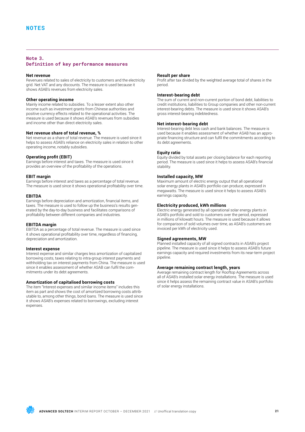### **Note 3. Definition of key performance measures**

### **Net revenue**

Revenues related to sales of electricity to customers and the electricity grid. Net VAT and any discounts. The measure is used because it shows ASAB's revenues from electricity sales.

### **Other operating income**

Mainly income related to subsidies. To a lesser extent also other income such as investment grants from Chinese authorities and positive currency effects related to the operational activities. The measure is used because it shows ASAB's revenues from subsidies and income other than direct electricity sales.

### **Net revenue share of total revenue, %**

Net revenue as a share of total revenue. The measure is used since it helps to assess ASAB's reliance on electricity sales in relation to other operating income, notably subsidies.

### **Operating profit (EBIT)**

Earnings before interest and taxes. The measure is used since it provides an overview of the profitability of the operations.

### **EBIT margin**

Earnings before interest and taxes as a percentage of total revenue. The measure is used since it shows operational profitability over time.

### **EBITDA**

Earnings before depreciation and amortization, financial items, and taxes. The measure is used to follow up the business's results generated by the day-to-day business and facilitates comparisons of profitability between different companies and industries.

### **EBITDA margin**

EBITDA as a percentage of total revenue. The measure is used since it shows operational profitability over time, regardless of financing, depreciation and amortization.

### **Interest expense**

Interest expense and similar charges less amortization of capitalized borrowing costs, taxes relating to intra-group interest payments and withholding tax on interest payments from China. The measure is used since it enables assessment of whether ASAB can fulfil the commitments under its debt agreements.

### **Amortization of capitalised borrowing costs**

The item "Interest expenses and similar income items" includes this item as part and shows the cost of amortized borrowing costs attributable to, among other things, bond loans. The measure is used since it shows ASAB's expenses related to borrowings, excluding interest expenses.

### **Result per share**

Profit after tax divided by the weighted average total of shares in the period.

### **Interest-bearing debt**

The sum of current and non-current portion of bond debt, liabilities to credit institutions, liabilities to Group companies and other non-current interest-bearing debts. The measure is used since it shows ASAB's gross interest-bearing indebtedness.

### **Net interest-bearing debt**

Interest-bearing debt less cash and bank balances. The measure is used because it enables assessment of whether ASAB has an appropriate financing structure and can fulfil the commitments according to its debt agreements.

### **Equity ratio**

Equity divided by total assets per closing balance for each reporting period. The measure is used since it helps to assess ASAB's financial stability.

### **Installed capacity, MW**

Maximum amount of electric energy output that all operational solar energy plants in ASAB's portfolio can produce, expressed in megawatts. The measure is used since it helps to assess ASAB's earnings capacity.

### **Electricity produced, kWh millions**

Electric energy generated by all operational solar energy plants in ASAB's portfolio and sold to customers over the period, expressed in millions of kilowatt hours. The measure is used because it allows for comparison of sold volumes over time, as ASAB's customers are invoiced per kWh of electricity used.

### **Signed agreements, MW**

Planned installed capacity of all signed contracts in ASAB's project pipeline. The measure is used since it helps to assess ASAB's future earnings capacity and required investments from its near-term project pipeline.

### **Average remaining contract length, years**

Average remaining contract length for Rooftop Agreements across all of ASAB's installed solar energy installations. The measure is used since it helps assess the remaining contract value in ASAB's portfolio of solar energy installations.